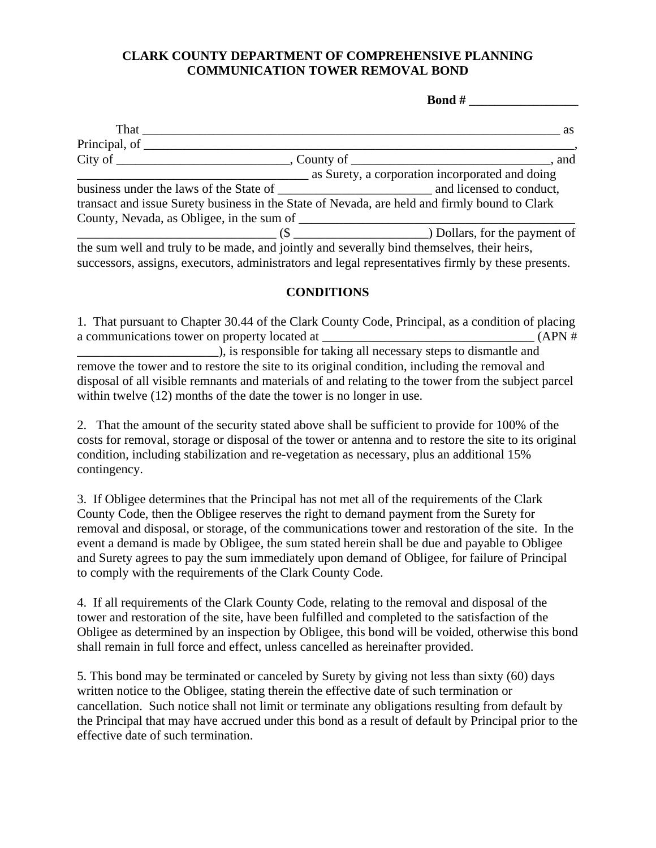## **CLARK COUNTY DEPARTMENT OF COMPREHENSIVE PLANNING COMMUNICATION TOWER REMOVAL BOND**

**Bond #** 

| That                                                                                          |                                                                                                                                                                                                                                                                      | as as |
|-----------------------------------------------------------------------------------------------|----------------------------------------------------------------------------------------------------------------------------------------------------------------------------------------------------------------------------------------------------------------------|-------|
|                                                                                               |                                                                                                                                                                                                                                                                      |       |
|                                                                                               |                                                                                                                                                                                                                                                                      |       |
|                                                                                               | as Surety, a corporation incorporated and doing                                                                                                                                                                                                                      |       |
|                                                                                               |                                                                                                                                                                                                                                                                      |       |
| transact and issue Surety business in the State of Nevada, are held and firmly bound to Clark |                                                                                                                                                                                                                                                                      |       |
| County, Nevada, as Obligee, in the sum of                                                     |                                                                                                                                                                                                                                                                      |       |
|                                                                                               | $\sim$ (\$ $\sim$ 0.000 $\sim$ 0.0000 $\sim$ 0.0000 $\sim$ 0.0000 $\sim$ 0.0000 $\sim$ 0.0000 $\sim$ 0.0000 $\sim$ 0.0000 $\sim$ 0.0000 $\sim$ 0.0000 $\sim$ 0.0000 $\sim$ 0.0000 $\sim$ 0.0000 $\sim$ 0.0000 $\sim$ 0.0000 $\sim$ 0.0000 $\sim$ 0.0000 $\sim$ 0.000 |       |
| the sum well and truly to be made, and jointly and severally bind themselves, their heirs,    |                                                                                                                                                                                                                                                                      |       |

successors, assigns, executors, administrators and legal representatives firmly by these presents.

## **CONDITIONS**

1. That pursuant to Chapter 30.44 of the Clark County Code, Principal, as a condition of placing a communications tower on property located at \_\_\_\_\_\_\_\_\_\_\_\_\_\_\_\_\_\_\_\_\_\_\_\_\_\_\_\_\_\_\_\_\_ (APN #  $\overline{\phantom{a}}$ ), is responsible for taking all necessary steps to dismantle and remove the tower and to restore the site to its original condition, including the removal and disposal of all visible remnants and materials of and relating to the tower from the subject parcel within twelve  $(12)$  months of the date the tower is no longer in use.

2. That the amount of the security stated above shall be sufficient to provide for 100% of the costs for removal, storage or disposal of the tower or antenna and to restore the site to its original condition, including stabilization and re-vegetation as necessary, plus an additional 15% contingency.

3. If Obligee determines that the Principal has not met all of the requirements of the Clark County Code, then the Obligee reserves the right to demand payment from the Surety for removal and disposal, or storage, of the communications tower and restoration of the site. In the event a demand is made by Obligee, the sum stated herein shall be due and payable to Obligee and Surety agrees to pay the sum immediately upon demand of Obligee, for failure of Principal to comply with the requirements of the Clark County Code.

4. If all requirements of the Clark County Code, relating to the removal and disposal of the tower and restoration of the site, have been fulfilled and completed to the satisfaction of the Obligee as determined by an inspection by Obligee, this bond will be voided, otherwise this bond shall remain in full force and effect, unless cancelled as hereinafter provided.

5. This bond may be terminated or canceled by Surety by giving not less than sixty (60) days written notice to the Obligee, stating therein the effective date of such termination or cancellation. Such notice shall not limit or terminate any obligations resulting from default by the Principal that may have accrued under this bond as a result of default by Principal prior to the effective date of such termination.